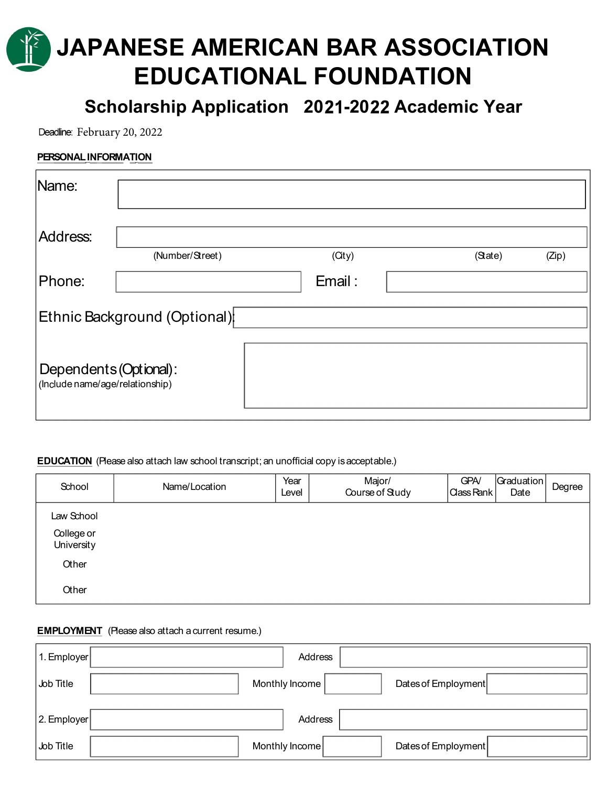# JAPANESE AMERICAN BAR ASSOCIATION EDUCATIONAL FOUNDATION

Scholarship Application 2021-2022 Academic Year

Deadline: February 20, 2022

### PERSONAL INFORMATION

| Name:                                                     |                 |        |         |       |  |  |
|-----------------------------------------------------------|-----------------|--------|---------|-------|--|--|
| Address:                                                  |                 |        |         |       |  |  |
|                                                           | (Number/Street) | (City) | (State) | (Zip) |  |  |
| Phone:                                                    |                 | Email: |         |       |  |  |
| Ethnic Background (Optional)                              |                 |        |         |       |  |  |
| Dependents (Optional):<br>(Include name/age/relationship) |                 |        |         |       |  |  |

### **EDUCATION** (Please also attach law school transcript; an unofficial copy is acceptable.)

| School                   | Name/Location | Year<br>Level | Major/<br>Course of Study | <b>GPA/</b><br>Class Rank | Graduation<br>Date | Degree |
|--------------------------|---------------|---------------|---------------------------|---------------------------|--------------------|--------|
| Law School<br>College or |               |               |                           |                           |                    |        |
| University               |               |               |                           |                           |                    |        |
| Other                    |               |               |                           |                           |                    |        |
| Other                    |               |               |                           |                           |                    |        |

## **EMPLOYMENT** (Please also attach a current resume.)

| $ 1$ . Employer $ $ | Address        |                     |
|---------------------|----------------|---------------------|
| Job Title           | Monthly Income | Dates of Employment |
| $ 2$ . Employer     | Address        |                     |
| Job Title           | Monthly Income | Dates of Employment |